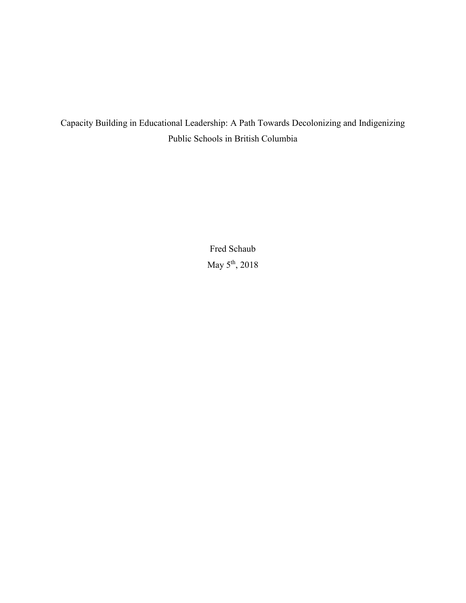Capacity Building in Educational Leadership: A Path Towards Decolonizing and Indigenizing Public Schools in British Columbia

> Fred Schaub May  $5^{\text{th}}$ , 2018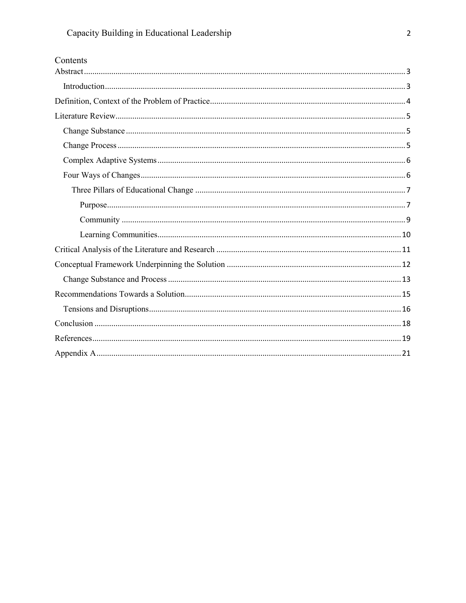| Contents |
|----------|
|          |
|          |
|          |
|          |
|          |
|          |
|          |
|          |
|          |
|          |
|          |
|          |
|          |
|          |
|          |
|          |
|          |
|          |
|          |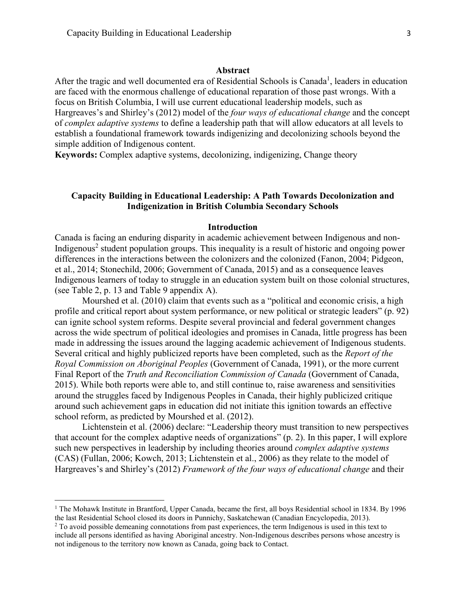#### **Abstract**

<span id="page-2-0"></span>After the tragic and well documented era of Residential Schools is Canada<sup>1</sup>, leaders in education are faced with the enormous challenge of educational reparation of those past wrongs. With a focus on British Columbia, I will use current educational leadership models, such as Hargreaves's and Shirley's (2012) model of the *four ways of educational change* and the concept of *complex adaptive systems* to define a leadership path that will allow educators at all levels to establish a foundational framework towards indigenizing and decolonizing schools beyond the simple addition of Indigenous content.

**Keywords:** Complex adaptive systems, decolonizing, indigenizing, Change theory

## **Capacity Building in Educational Leadership: A Path Towards Decolonization and Indigenization in British Columbia Secondary Schools**

## **Introduction**

<span id="page-2-1"></span>Canada is facing an enduring disparity in academic achievement between Indigenous and non-Indigenous<sup>2</sup> student population groups. This inequality is a result of historic and ongoing power differences in the interactions between the colonizers and the colonized (Fanon, 2004; Pidgeon, et al., 2014; Stonechild, 2006; Government of Canada, 2015) and as a consequence leaves Indigenous learners of today to struggle in an education system built on those colonial structures, (see Table 2, p. 13 and Table 9 appendix A).

Mourshed et al. (2010) claim that events such as a "political and economic crisis, a high profile and critical report about system performance, or new political or strategic leaders" (p. 92) can ignite school system reforms. Despite several provincial and federal government changes across the wide spectrum of political ideologies and promises in Canada, little progress has been made in addressing the issues around the lagging academic achievement of Indigenous students. Several critical and highly publicized reports have been completed, such as the *Report of the Royal Commission on Aboriginal Peoples* (Government of Canada, 1991), or the more current Final Report of the *Truth and Reconciliation Commission of Canada* (Government of Canada, 2015). While both reports were able to, and still continue to, raise awareness and sensitivities around the struggles faced by Indigenous Peoples in Canada, their highly publicized critique around such achievement gaps in education did not initiate this ignition towards an effective school reform, as predicted by Mourshed et al. (2012).

Lichtenstein et al. (2006) declare: "Leadership theory must transition to new perspectives that account for the complex adaptive needs of organizations" (p. 2). In this paper, I will explore such new perspectives in leadership by including theories around *complex adaptive systems* (CAS) (Fullan, 2006; Kowch, 2013; Lichtenstein et al., 2006) as they relate to the model of Hargreaves's and Shirley's (2012) *Framework of the four ways of educational change* and their

l

<sup>&</sup>lt;sup>1</sup> The Mohawk Institute in Brantford, Upper Canada, became the first, all boys Residential school in 1834. By 1996 the last Residential School closed its doors in Punnichy, Saskatchewan (Canadian Encyclopedia, 2013).

<sup>&</sup>lt;sup>2</sup> To avoid possible demeaning connotations from past experiences, the term Indigenous is used in this text to include all persons identified as having Aboriginal ancestry. Non-Indigenous describes persons whose ancestry is not indigenous to the territory now known as Canada, going back to Contact.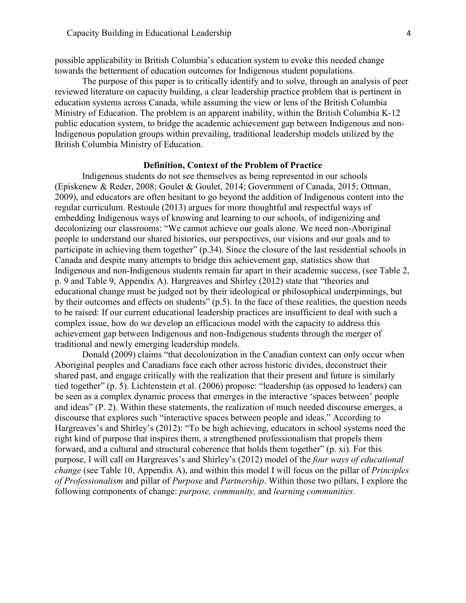possible applicability in British Columbia's education system to evoke this needed change towards the betterment of education outcomes for Indigenous student populations.

The purpose of this paper is to critically identify and to solve, through an analysis of peer reviewed literature on capacity building, a clear leadership practice problem that is pertinent in education systems across Canada, while assuming the view or lens of the British Columbia Ministry of Education. The problem is an apparent inability, within the British Columbia K-12 public education system, to bridge the academic achievement gap between Indigenous and non-Indigenous population groups within prevailing, traditional leadership models utilized by the British Columbia Ministry of Education.

#### **Definition, Context of the Problem of Practice**

<span id="page-3-0"></span>Indigenous students do not see themselves as being represented in our schools (Episkenew & Reder, 2008; Goulet & Goulet, 2014; Government of Canada, 2015; Ottman, 2009), and educators are often hesitant to go beyond the addition of Indigenous content into the regular curriculum. Restoule (2013) argues for more thoughtful and respectful ways of embedding Indigenous ways of knowing and learning to our schools, of indigenizing and decolonizing our classrooms: "We cannot achieve our goals alone. We need non-Aboriginal people to understand our shared histories, our perspectives, our visions and our goals and to participate in achieving them together" (p.34). Since the closure of the last residential schools in Canada and despite many attempts to bridge this achievement gap, statistics show that Indigenous and non-Indigenous students remain far apart in their academic success, (see Table 2, p. 9 and Table 9, Appendix A). Hargreaves and Shirley (2012) state that "theories and educational change must be judged not by their ideological or philosophical underpinnings, but by their outcomes and effects on students" (p.5). In the face of these realities, the question needs to be raised: If our current educational leadership practices are insufficient to deal with such a complex issue, how do we develop an efficacious model with the capacity to address this achievement gap between Indigenous and non-Indigenous students through the merger of traditional and newly emerging leadership models.

Donald (2009) claims "that decolonization in the Canadian context can only occur when Aboriginal peoples and Canadians face each other across historic divides, deconstruct their shared past, and engage critically with the realization that their present and future is similarly tied together" (p. 5). Lichtenstein et al. (2006) propose: "leadership (as opposed to leaders) can be seen as a complex dynamic process that emerges in the interactive 'spaces between' people and ideas" (P. 2). Within these statements, the realization of much needed discourse emerges, a discourse that explores such "interactive spaces between people and ideas." According to Hargreaves's and Shirley's (2012): "To be high achieving, educators in school systems need the right kind of purpose that inspires them, a strengthened professionalism that propels them forward, and a cultural and structural coherence that holds them together" (p. xi). For this purpose, I will call on Hargreaves's and Shirley's (2012) model of the *four ways of educational change* (see Table 10, Appendix A), and within this model I will focus on the pillar of *Principles of Professionalism* and pillar of *Purpose* and *Partnership*. Within those two pillars, I explore the following components of change: *purpose, community,* and *learning communities*.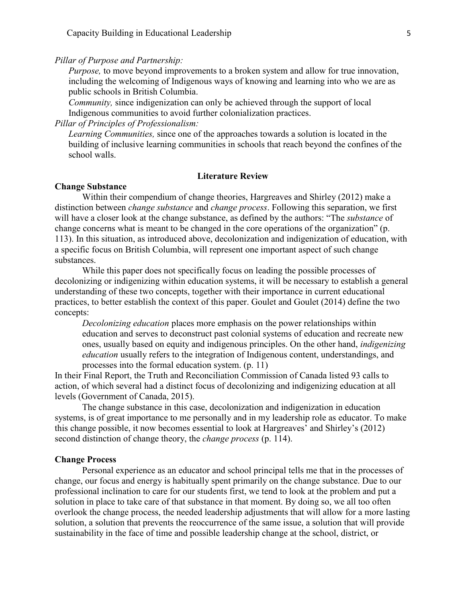*Pillar of Purpose and Partnership:*

*Purpose,* to move beyond improvements to a broken system and allow for true innovation, including the welcoming of Indigenous ways of knowing and learning into who we are as public schools in British Columbia.

*Community,* since indigenization can only be achieved through the support of local Indigenous communities to avoid further colonialization practices.

*Pillar of Principles of Professionalism:*

*Learning Communities,* since one of the approaches towards a solution is located in the building of inclusive learning communities in schools that reach beyond the confines of the school walls.

## **Literature Review**

#### <span id="page-4-1"></span><span id="page-4-0"></span>**Change Substance**

Within their compendium of change theories, Hargreaves and Shirley (2012) make a distinction between *change substance* and *change process*. Following this separation, we first will have a closer look at the change substance, as defined by the authors: "The *substance* of change concerns what is meant to be changed in the core operations of the organization" (p. 113). In this situation, as introduced above, decolonization and indigenization of education, with a specific focus on British Columbia, will represent one important aspect of such change substances.

While this paper does not specifically focus on leading the possible processes of decolonizing or indigenizing within education systems, it will be necessary to establish a general understanding of these two concepts, together with their importance in current educational practices, to better establish the context of this paper. Goulet and Goulet (2014) define the two concepts:

*Decolonizing education* places more emphasis on the power relationships within education and serves to deconstruct past colonial systems of education and recreate new ones, usually based on equity and indigenous principles. On the other hand, *indigenizing education* usually refers to the integration of Indigenous content, understandings, and processes into the formal education system. (p. 11)

In their Final Report, the Truth and Reconciliation Commission of Canada listed 93 calls to action, of which several had a distinct focus of decolonizing and indigenizing education at all levels (Government of Canada, 2015).

The change substance in this case, decolonization and indigenization in education systems, is of great importance to me personally and in my leadership role as educator. To make this change possible, it now becomes essential to look at Hargreaves' and Shirley's (2012) second distinction of change theory, the *change process* (p. 114).

#### <span id="page-4-2"></span>**Change Process**

Personal experience as an educator and school principal tells me that in the processes of change, our focus and energy is habitually spent primarily on the change substance. Due to our professional inclination to care for our students first, we tend to look at the problem and put a solution in place to take care of that substance in that moment. By doing so, we all too often overlook the change process, the needed leadership adjustments that will allow for a more lasting solution, a solution that prevents the reoccurrence of the same issue, a solution that will provide sustainability in the face of time and possible leadership change at the school, district, or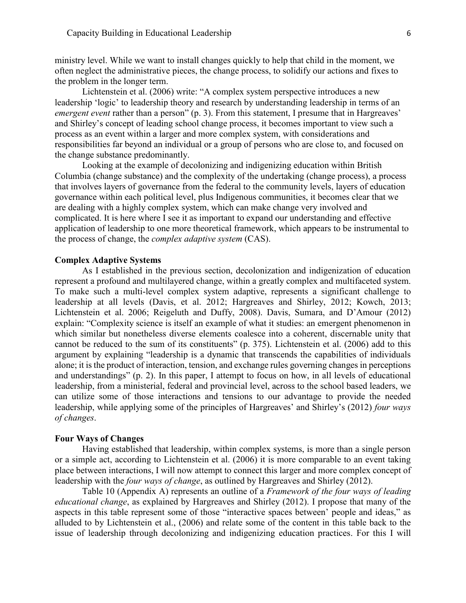ministry level. While we want to install changes quickly to help that child in the moment, we often neglect the administrative pieces, the change process, to solidify our actions and fixes to the problem in the longer term.

Lichtenstein et al. (2006) write: "A complex system perspective introduces a new leadership 'logic' to leadership theory and research by understanding leadership in terms of an *emergent event* rather than a person" (p. 3). From this statement, I presume that in Hargreaves' and Shirley's concept of leading school change process, it becomes important to view such a process as an event within a larger and more complex system, with considerations and responsibilities far beyond an individual or a group of persons who are close to, and focused on the change substance predominantly.

Looking at the example of decolonizing and indigenizing education within British Columbia (change substance) and the complexity of the undertaking (change process), a process that involves layers of governance from the federal to the community levels, layers of education governance within each political level, plus Indigenous communities, it becomes clear that we are dealing with a highly complex system, which can make change very involved and complicated. It is here where I see it as important to expand our understanding and effective application of leadership to one more theoretical framework, which appears to be instrumental to the process of change, the *complex adaptive system* (CAS).

## <span id="page-5-0"></span>**Complex Adaptive Systems**

As I established in the previous section, decolonization and indigenization of education represent a profound and multilayered change, within a greatly complex and multifaceted system. To make such a multi-level complex system adaptive, represents a significant challenge to leadership at all levels (Davis, et al. 2012; Hargreaves and Shirley, 2012; Kowch, 2013; Lichtenstein et al. 2006; Reigeluth and Duffy, 2008). Davis, Sumara, and D'Amour (2012) explain: "Complexity science is itself an example of what it studies: an emergent phenomenon in which similar but nonetheless diverse elements coalesce into a coherent, discernable unity that cannot be reduced to the sum of its constituents" (p. 375). Lichtenstein et al. (2006) add to this argument by explaining "leadership is a dynamic that transcends the capabilities of individuals alone; it is the product of interaction, tension, and exchange rules governing changes in perceptions and understandings" (p. 2). In this paper, I attempt to focus on how, in all levels of educational leadership, from a ministerial, federal and provincial level, across to the school based leaders, we can utilize some of those interactions and tensions to our advantage to provide the needed leadership, while applying some of the principles of Hargreaves' and Shirley's (2012) *four ways of changes*.

#### <span id="page-5-1"></span>**Four Ways of Changes**

Having established that leadership, within complex systems, is more than a single person or a simple act, according to Lichtenstein et al. (2006) it is more comparable to an event taking place between interactions, I will now attempt to connect this larger and more complex concept of leadership with the *four ways of change*, as outlined by Hargreaves and Shirley (2012).

Table 10 (Appendix A) represents an outline of a *Framework of the four ways of leading educational change*, as explained by Hargreaves and Shirley (2012). I propose that many of the aspects in this table represent some of those "interactive spaces between' people and ideas," as alluded to by Lichtenstein et al., (2006) and relate some of the content in this table back to the issue of leadership through decolonizing and indigenizing education practices. For this I will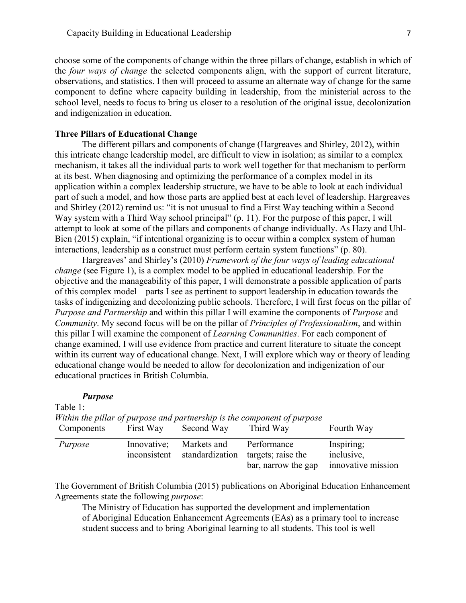choose some of the components of change within the three pillars of change, establish in which of the *four ways of change* the selected components align, with the support of current literature, observations, and statistics. I then will proceed to assume an alternate way of change for the same component to define where capacity building in leadership, from the ministerial across to the school level, needs to focus to bring us closer to a resolution of the original issue, decolonization and indigenization in education.

## <span id="page-6-0"></span>**Three Pillars of Educational Change**

The different pillars and components of change (Hargreaves and Shirley, 2012), within this intricate change leadership model, are difficult to view in isolation; as similar to a complex mechanism, it takes all the individual parts to work well together for that mechanism to perform at its best. When diagnosing and optimizing the performance of a complex model in its application within a complex leadership structure, we have to be able to look at each individual part of such a model, and how those parts are applied best at each level of leadership. Hargreaves and Shirley (2012) remind us: "it is not unusual to find a First Way teaching within a Second Way system with a Third Way school principal" (p. 11). For the purpose of this paper, I will attempt to look at some of the pillars and components of change individually. As Hazy and Uhl-Bien (2015) explain, "if intentional organizing is to occur within a complex system of human interactions, leadership as a construct must perform certain system functions" (p. 80).

Hargreaves' and Shirley's (2010) *Framework of the four ways of leading educational change* (see Figure 1), is a complex model to be applied in educational leadership. For the objective and the manageability of this paper, I will demonstrate a possible application of parts of this complex model – parts I see as pertinent to support leadership in education towards the tasks of indigenizing and decolonizing public schools. Therefore, I will first focus on the pillar of *Purpose and Partnership* and within this pillar I will examine the components of *Purpose* and *Community*. My second focus will be on the pillar of *Principles of Professionalism*, and within this pillar I will examine the component of *Learning Communities*. For each component of change examined, I will use evidence from practice and current literature to situate the concept within its current way of educational change. Next, I will explore which way or theory of leading educational change would be needed to allow for decolonization and indigenization of our educational practices in British Columbia.

#### *Purpose*

<span id="page-6-1"></span>Table 1:

| Components | First Way                   | Second Way                     | Third Way                                                | Fourth Way                                     |
|------------|-----------------------------|--------------------------------|----------------------------------------------------------|------------------------------------------------|
| Purpose    | Innovative;<br>inconsistent | Markets and<br>standardization | Performance<br>targets; raise the<br>bar, narrow the gap | Inspiring;<br>inclusive,<br>innovative mission |

*Within the pillar of purpose and partnership is the component of purpose*

The Government of British Columbia (2015) publications on Aboriginal Education Enhancement Agreements state the following *purpose*:

The Ministry of Education has supported the development and implementation of Aboriginal Education Enhancement Agreements (EAs) as a primary tool to increase student success and to bring Aboriginal learning to all students. This tool is well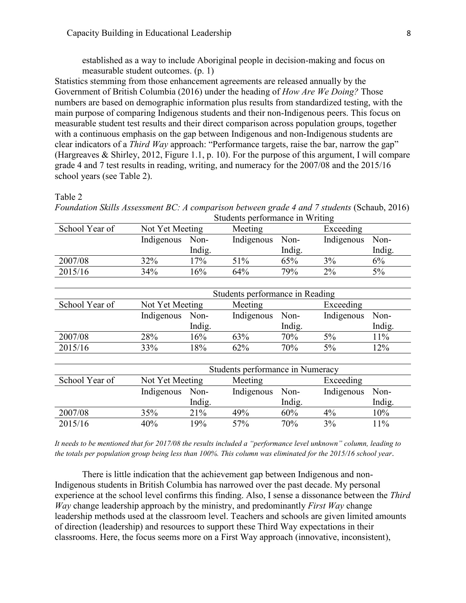established as a way to include Aboriginal people in decision-making and focus on measurable student outcomes. (p. 1)

Statistics stemming from those enhancement agreements are released annually by the Government of British Columbia (2016) under the heading of *How Are We Doing?* Those numbers are based on demographic information plus results from standardized testing, with the main purpose of comparing Indigenous students and their non-Indigenous peers. This focus on measurable student test results and their direct comparison across population groups, together with a continuous emphasis on the gap between Indigenous and non-Indigenous students are clear indicators of a *Third Way* approach: "Performance targets, raise the bar, narrow the gap" (Hargreaves & Shirley, 2012, Figure 1.1, p. 10). For the purpose of this argument, I will compare grade 4 and 7 test results in reading, writing, and numeracy for the 2007/08 and the 2015/16 school years (see Table 2).

#### Table 2

*Foundation Skills Assessment BC: A comparison between grade 4 and 7 students (Schaub, 2016)* Students performance in Writing

| School Year of | Not Yet Meeting |        | Meeting    |        | Exceeding  |        |
|----------------|-----------------|--------|------------|--------|------------|--------|
|                | Indigenous      | Non-   | Indigenous | Non-   | Indigenous | Non-   |
|                |                 | Indig. |            | Indig. |            | Indig. |
| 2007/08        | 32%             | 17%    | 51%        | 65%    | 3%         | 6%     |
| 2015/16        | 34%             | 16%    | 64%        | 79%    | $2\%$      | $5\%$  |

|                | Students performance in Reading |        |            |        |            |        |  |
|----------------|---------------------------------|--------|------------|--------|------------|--------|--|
| School Year of | Not Yet Meeting                 |        | Meeting    |        | Exceeding  |        |  |
|                | Indigenous                      | Non-   | Indigenous | Non-   | Indigenous | Non-   |  |
|                |                                 | Indig. |            | Indig. |            | Indig. |  |
| 2007/08        | 28%                             | 16%    | 63%        | 70%    | 5%         | 11%    |  |
| 2015/16        | 33%                             | 18%    | 62%        | 70%    | 5%         | 12%    |  |

|                | Students performance in Numeracy |        |            |        |            |        |
|----------------|----------------------------------|--------|------------|--------|------------|--------|
| School Year of | Not Yet Meeting                  |        | Meeting    |        | Exceeding  |        |
|                | Indigenous                       | Non-   | Indigenous | Non-   | Indigenous | Non-   |
|                |                                  | Indig. |            | Indig. |            | Indig. |
| 2007/08        | 35%                              | 21%    | 49%        | 60%    | $4\%$      | 10%    |
| 2015/16        | 40%                              | 19%    | 57%        | 70%    | 3%         | 11%    |

*It needs to be mentioned that for 2017/08 the results included a "performance level unknown" column, leading to the totals per population group being less than 100%. This column was eliminated for the 2015/16 school year.* 

There is little indication that the achievement gap between Indigenous and non-Indigenous students in British Columbia has narrowed over the past decade. My personal experience at the school level confirms this finding. Also, I sense a dissonance between the *Third Way* change leadership approach by the ministry, and predominantly *First Way* change leadership methods used at the classroom level. Teachers and schools are given limited amounts of direction (leadership) and resources to support these Third Way expectations in their classrooms. Here, the focus seems more on a First Way approach (innovative, inconsistent),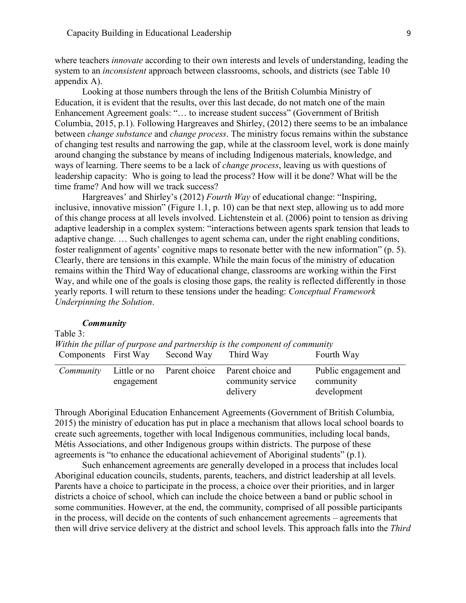where teachers *innovate* according to their own interests and levels of understanding, leading the system to an *inconsistent* approach between classrooms, schools, and districts (see Table 10 appendix A).

Looking at those numbers through the lens of the British Columbia Ministry of Education, it is evident that the results, over this last decade, do not match one of the main Enhancement Agreement goals: "… to increase student success" (Government of British Columbia, 2015, p.1). Following Hargreaves and Shirley, (2012) there seems to be an imbalance between *change substance* and *change process*. The ministry focus remains within the substance of changing test results and narrowing the gap, while at the classroom level, work is done mainly around changing the substance by means of including Indigenous materials, knowledge, and ways of learning. There seems to be a lack of *change process*, leaving us with questions of leadership capacity: Who is going to lead the process? How will it be done? What will be the time frame? And how will we track success?

Hargreaves' and Shirley's (2012) *Fourth Way* of educational change: "Inspiring, inclusive, innovative mission" (Figure 1.1, p. 10) can be that next step, allowing us to add more of this change process at all levels involved. Lichtenstein et al. (2006) point to tension as driving adaptive leadership in a complex system: "interactions between agents spark tension that leads to adaptive change. … Such challenges to agent schema can, under the right enabling conditions, foster realignment of agents' cognitive maps to resonate better with the new information" (p. 5). Clearly, there are tensions in this example. While the main focus of the ministry of education remains within the Third Way of educational change, classrooms are working within the First Way, and while one of the goals is closing those gaps, the reality is reflected differently in those yearly reports. I will return to these tensions under the heading: *Conceptual Framework Underpinning the Solution*.

## *Community*

<span id="page-8-0"></span>

| Table 3:  |            |                                           |                                                                               |                                                   |
|-----------|------------|-------------------------------------------|-------------------------------------------------------------------------------|---------------------------------------------------|
|           |            |                                           | Within the pillar of purpose and partnership is the component of community    |                                                   |
|           |            | Components First Way Second Way Third Way |                                                                               | Fourth Way                                        |
| Community | engagement |                                           | Little or no Parent choice Parent choice and<br>community service<br>delivery | Public engagement and<br>community<br>development |

Through Aboriginal Education Enhancement Agreements (Government of British Columbia, 2015) the ministry of education has put in place a mechanism that allows local school boards to create such agreements, together with local Indigenous communities, including local bands, Métis Associations, and other Indigenous groups within districts. The purpose of these agreements is "to enhance the educational achievement of Aboriginal students" (p.1).

Such enhancement agreements are generally developed in a process that includes local Aboriginal education councils, students, parents, teachers, and district leadership at all levels. Parents have a choice to participate in the process, a choice over their priorities, and in larger districts a choice of school, which can include the choice between a band or public school in some communities. However, at the end, the community, comprised of all possible participants in the process, will decide on the contents of such enhancement agreements – agreements that then will drive service delivery at the district and school levels. This approach falls into the *Third*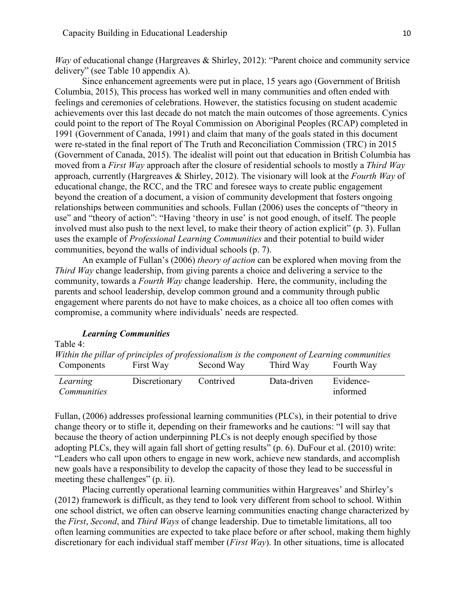*Way* of educational change (Hargreaves & Shirley, 2012): "Parent choice and community service delivery" (see Table 10 appendix A).

Since enhancement agreements were put in place, 15 years ago (Government of British Columbia, 2015), This process has worked well in many communities and often ended with feelings and ceremonies of celebrations. However, the statistics focusing on student academic achievements over this last decade do not match the main outcomes of those agreements. Cynics could point to the report of The Royal Commission on Aboriginal Peoples (RCAP) completed in 1991 (Government of Canada, 1991) and claim that many of the goals stated in this document were re-stated in the final report of The Truth and Reconciliation Commission (TRC) in 2015 (Government of Canada, 2015). The idealist will point out that education in British Columbia has moved from a *First Way* approach after the closure of residential schools to mostly a *Third Way*  approach, currently (Hargreaves & Shirley, 2012). The visionary will look at the *Fourth Way* of educational change, the RCC, and the TRC and foresee ways to create public engagement beyond the creation of a document, a vision of community development that fosters ongoing relationships between communities and schools. Fullan (2006) uses the concepts of "theory in use" and "theory of action": "Having 'theory in use' is not good enough, of itself. The people involved must also push to the next level, to make their theory of action explicit" (p. 3). Fullan uses the example of *Professional Learning Communities* and their potential to build wider communities, beyond the walls of individual schools (p. 7).

An example of Fullan's (2006) *theory of action* can be explored when moving from the *Third Way* change leadership, from giving parents a choice and delivering a service to the community, towards a *Fourth Way* change leadership. Here, the community, including the parents and school leadership, develop common ground and a community through public engagement where parents do not have to make choices, as a choice all too often comes with compromise, a community where individuals' needs are respected.

## *Learning Communities*

<span id="page-9-0"></span>Table 4:

|                                                                                             | $\mathbf{D}$ |            | $\mathbf{D}_{\text{min}}$ and $\mathbf{D}_{\text{min}}$ and $\mathbf{D}_{\text{min}}$ and $\mathbf{D}_{\text{min}}$ and $\mathbf{D}_{\text{min}}$ and $\mathbf{D}_{\text{min}}$ and $\mathbf{D}_{\text{min}}$ and $\mathbf{D}_{\text{min}}$ and $\mathbf{D}_{\text{min}}$ and $\mathbf{D}_{\text{min}}$ and $\mathbf{D}_{\text{min}}$ and $\mathbf{D}_{\text{min}}$ and $\mathbf{$ |            |
|---------------------------------------------------------------------------------------------|--------------|------------|------------------------------------------------------------------------------------------------------------------------------------------------------------------------------------------------------------------------------------------------------------------------------------------------------------------------------------------------------------------------------------|------------|
| Components                                                                                  | First Way    | Second Way | Third Way                                                                                                                                                                                                                                                                                                                                                                          | Fourth Way |
| Within the pillar of principles of professionalism is the component of Learning communities |              |            |                                                                                                                                                                                                                                                                                                                                                                                    |            |

*Learning Communities* Discretionary Contrived Data-driven Evidenceinformed

Fullan, (2006) addresses professional learning communities (PLCs), in their potential to drive change theory or to stifle it, depending on their frameworks and he cautions: "I will say that because the theory of action underpinning PLCs is not deeply enough specified by those adopting PLCs, they will again fall short of getting results" (p. 6). DuFour et al. (2010) write: "Leaders who call upon others to engage in new work, achieve new standards, and accomplish new goals have a responsibility to develop the capacity of those they lead to be successful in meeting these challenges" (p. ii).

Placing currently operational learning communities within Hargreaves' and Shirley's (2012) framework is difficult, as they tend to look very different from school to school. Within one school district, we often can observe learning communities enacting change characterized by the *First*, *Second*, and *Third Ways* of change leadership. Due to timetable limitations, all too often learning communities are expected to take place before or after school, making them highly discretionary for each individual staff member (*First Way*). In other situations, time is allocated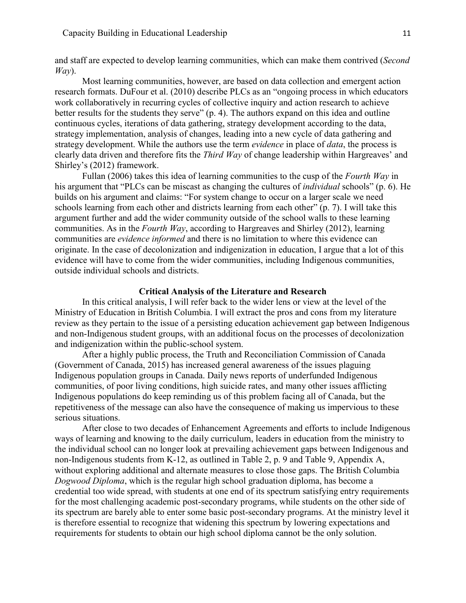and staff are expected to develop learning communities, which can make them contrived (*Second Way*).

Most learning communities, however, are based on data collection and emergent action research formats. DuFour et al. (2010) describe PLCs as an "ongoing process in which educators work collaboratively in recurring cycles of collective inquiry and action research to achieve better results for the students they serve" (p. 4). The authors expand on this idea and outline continuous cycles, iterations of data gathering, strategy development according to the data, strategy implementation, analysis of changes, leading into a new cycle of data gathering and strategy development. While the authors use the term *evidence* in place of *data*, the process is clearly data driven and therefore fits the *Third Way* of change leadership within Hargreaves' and Shirley's (2012) framework.

Fullan (2006) takes this idea of learning communities to the cusp of the *Fourth Way* in his argument that "PLCs can be miscast as changing the cultures of *individual* schools" (p. 6). He builds on his argument and claims: "For system change to occur on a larger scale we need schools learning from each other and districts learning from each other" (p. 7). I will take this argument further and add the wider community outside of the school walls to these learning communities. As in the *Fourth Way*, according to Hargreaves and Shirley (2012), learning communities are *evidence informed* and there is no limitation to where this evidence can originate. In the case of decolonization and indigenization in education, I argue that a lot of this evidence will have to come from the wider communities, including Indigenous communities, outside individual schools and districts.

### **Critical Analysis of the Literature and Research**

<span id="page-10-0"></span>In this critical analysis, I will refer back to the wider lens or view at the level of the Ministry of Education in British Columbia. I will extract the pros and cons from my literature review as they pertain to the issue of a persisting education achievement gap between Indigenous and non-Indigenous student groups, with an additional focus on the processes of decolonization and indigenization within the public-school system.

After a highly public process, the Truth and Reconciliation Commission of Canada (Government of Canada, 2015) has increased general awareness of the issues plaguing Indigenous population groups in Canada. Daily news reports of underfunded Indigenous communities, of poor living conditions, high suicide rates, and many other issues afflicting Indigenous populations do keep reminding us of this problem facing all of Canada, but the repetitiveness of the message can also have the consequence of making us impervious to these serious situations.

After close to two decades of Enhancement Agreements and efforts to include Indigenous ways of learning and knowing to the daily curriculum, leaders in education from the ministry to the individual school can no longer look at prevailing achievement gaps between Indigenous and non-Indigenous students from K-12, as outlined in Table 2, p. 9 and Table 9, Appendix A, without exploring additional and alternate measures to close those gaps. The British Columbia *Dogwood Diploma*, which is the regular high school graduation diploma, has become a credential too wide spread, with students at one end of its spectrum satisfying entry requirements for the most challenging academic post-secondary programs, while students on the other side of its spectrum are barely able to enter some basic post-secondary programs. At the ministry level it is therefore essential to recognize that widening this spectrum by lowering expectations and requirements for students to obtain our high school diploma cannot be the only solution.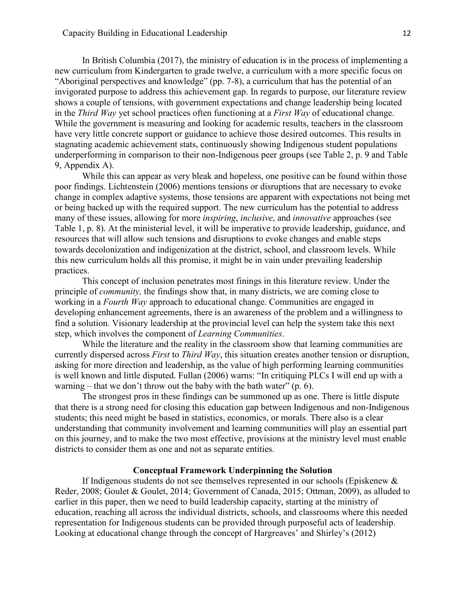In British Columbia (2017), the ministry of education is in the process of implementing a new curriculum from Kindergarten to grade twelve, a curriculum with a more specific focus on "Aboriginal perspectives and knowledge" (pp. 7-8), a curriculum that has the potential of an invigorated purpose to address this achievement gap. In regards to purpose, our literature review shows a couple of tensions, with government expectations and change leadership being located in the *Third Way* yet school practices often functioning at a *First Way* of educational change. While the government is measuring and looking for academic results, teachers in the classroom have very little concrete support or guidance to achieve those desired outcomes. This results in stagnating academic achievement stats, continuously showing Indigenous student populations underperforming in comparison to their non-Indigenous peer groups (see Table 2, p. 9 and Table 9, Appendix A).

While this can appear as very bleak and hopeless, one positive can be found within those poor findings. Lichtenstein (2006) mentions tensions or disruptions that are necessary to evoke change in complex adaptive systems, those tensions are apparent with expectations not being met or being backed up with the required support. The new curriculum has the potential to address many of these issues, allowing for more *inspiring*, *inclusive*, and *innovative* approaches (see Table 1, p. 8). At the ministerial level, it will be imperative to provide leadership, guidance, and resources that will allow such tensions and disruptions to evoke changes and enable steps towards decolonization and indigenization at the district, school, and classroom levels. While this new curriculum holds all this promise, it might be in vain under prevailing leadership practices.

This concept of inclusion penetrates most finings in this literature review. Under the principle of *community,* the findings show that, in many districts, we are coming close to working in a *Fourth Way* approach to educational change. Communities are engaged in developing enhancement agreements, there is an awareness of the problem and a willingness to find a solution. Visionary leadership at the provincial level can help the system take this next step, which involves the component of *Learning Communities*.

While the literature and the reality in the classroom show that learning communities are currently dispersed across *First* to *Third Way*, this situation creates another tension or disruption, asking for more direction and leadership, as the value of high performing learning communities is well known and little disputed. Fullan (2006) warns: "In critiquing PLCs I will end up with a warning – that we don't throw out the baby with the bath water"  $(p, 6)$ .

The strongest pros in these findings can be summoned up as one. There is little dispute that there is a strong need for closing this education gap between Indigenous and non-Indigenous students; this need might be based in statistics, economics, or morals. There also is a clear understanding that community involvement and learning communities will play an essential part on this journey, and to make the two most effective, provisions at the ministry level must enable districts to consider them as one and not as separate entities.

## **Conceptual Framework Underpinning the Solution**

<span id="page-11-0"></span>If Indigenous students do not see themselves represented in our schools (Episkenew & Reder, 2008; Goulet & Goulet, 2014; Government of Canada, 2015; Ottman, 2009), as alluded to earlier in this paper, then we need to build leadership capacity, starting at the ministry of education, reaching all across the individual districts, schools, and classrooms where this needed representation for Indigenous students can be provided through purposeful acts of leadership. Looking at educational change through the concept of Hargreaves' and Shirley's (2012)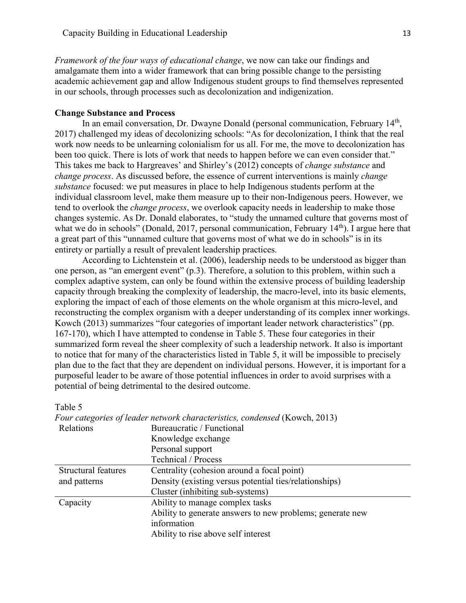*Framework of the four ways of educational change*, we now can take our findings and amalgamate them into a wider framework that can bring possible change to the persisting academic achievement gap and allow Indigenous student groups to find themselves represented in our schools, through processes such as decolonization and indigenization.

## <span id="page-12-0"></span>**Change Substance and Process**

In an email conversation, Dr. Dwayne Donald (personal communication, February 14<sup>th</sup>, 2017) challenged my ideas of decolonizing schools: "As for decolonization, I think that the real work now needs to be unlearning colonialism for us all. For me, the move to decolonization has been too quick. There is lots of work that needs to happen before we can even consider that." This takes me back to Hargreaves' and Shirley's (2012) concepts of *change substance* and *change process*. As discussed before, the essence of current interventions is mainly *change substance* focused: we put measures in place to help Indigenous students perform at the individual classroom level, make them measure up to their non-Indigenous peers. However, we tend to overlook the *change process*, we overlook capacity needs in leadership to make those changes systemic. As Dr. Donald elaborates, to "study the unnamed culture that governs most of what we do in schools" (Donald, 2017, personal communication, February  $14<sup>th</sup>$ ). I argue here that a great part of this "unnamed culture that governs most of what we do in schools" is in its entirety or partially a result of prevalent leadership practices.

According to Lichtenstein et al. (2006), leadership needs to be understood as bigger than one person, as "an emergent event" (p.3). Therefore, a solution to this problem, within such a complex adaptive system, can only be found within the extensive process of building leadership capacity through breaking the complexity of leadership, the macro-level, into its basic elements, exploring the impact of each of those elements on the whole organism at this micro-level, and reconstructing the complex organism with a deeper understanding of its complex inner workings. Kowch (2013) summarizes "four categories of important leader network characteristics" (pp. 167-170), which I have attempted to condense in Table 5. These four categories in their summarized form reveal the sheer complexity of such a leadership network. It also is important to notice that for many of the characteristics listed in Table 5, it will be impossible to precisely plan due to the fact that they are dependent on individual persons. However, it is important for a purposeful leader to be aware of those potential influences in order to avoid surprises with a potential of being detrimental to the desired outcome.

#### Table 5

|                            | Four categories of leader network characteristics, condensed (Kowch, 2013) |  |  |  |  |
|----------------------------|----------------------------------------------------------------------------|--|--|--|--|
| Relations                  | Bureaucratic / Functional                                                  |  |  |  |  |
|                            | Knowledge exchange                                                         |  |  |  |  |
|                            | Personal support                                                           |  |  |  |  |
|                            | Technical / Process                                                        |  |  |  |  |
| <b>Structural features</b> | Centrality (cohesion around a focal point)                                 |  |  |  |  |
| and patterns               | Density (existing versus potential ties/relationships)                     |  |  |  |  |
|                            | Cluster (inhibiting sub-systems)                                           |  |  |  |  |
| Capacity                   | Ability to manage complex tasks                                            |  |  |  |  |
|                            | Ability to generate answers to new problems; generate new                  |  |  |  |  |
|                            | information                                                                |  |  |  |  |
|                            | Ability to rise above self interest                                        |  |  |  |  |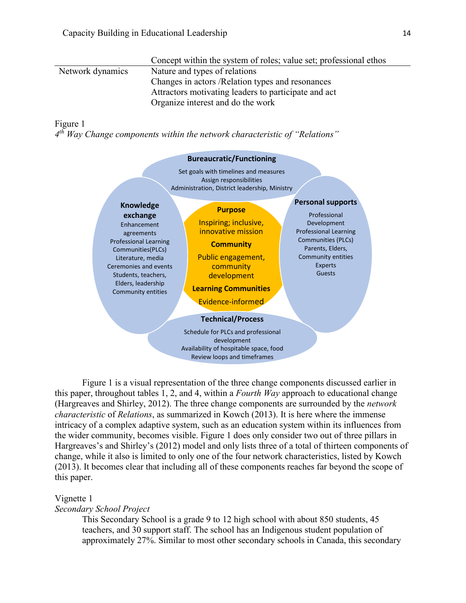|                  | Concept within the system of roles; value set; professional ethos |
|------------------|-------------------------------------------------------------------|
| Network dynamics | Nature and types of relations                                     |
|                  | Changes in actors / Relation types and resonances                 |
|                  | Attractors motivating leaders to participate and act              |
|                  | Organize interest and do the work                                 |

#### Figure 1

*4 th Way Change components within the network characteristic of "Relations"*



Figure 1 is a visual representation of the three change components discussed earlier in this paper, throughout tables 1, 2, and 4, within a *Fourth Way* approach to educational change (Hargreaves and Shirley, 2012). The three change components are surrounded by the *network characteristic* of *Relations*, as summarized in Kowch (2013). It is here where the immense intricacy of a complex adaptive system, such as an education system within its influences from the wider community, becomes visible. Figure 1 does only consider two out of three pillars in Hargreaves's and Shirley's (2012) model and only lists three of a total of thirteen components of change, while it also is limited to only one of the four network characteristics, listed by Kowch (2013). It becomes clear that including all of these components reaches far beyond the scope of this paper.

## Vignette 1

*Secondary School Project*

This Secondary School is a grade 9 to 12 high school with about 850 students, 45 teachers, and 30 support staff. The school has an Indigenous student population of approximately 27%. Similar to most other secondary schools in Canada, this secondary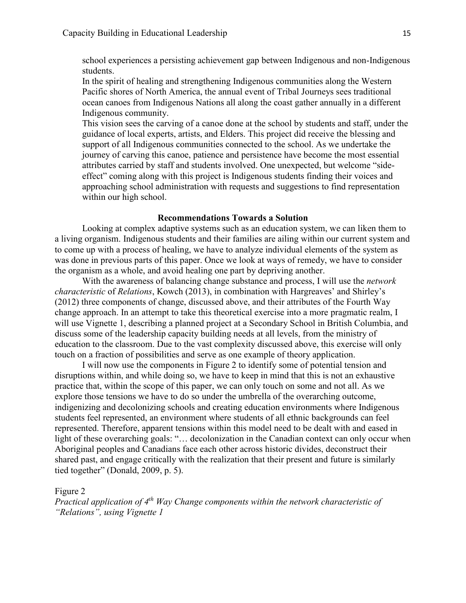school experiences a persisting achievement gap between Indigenous and non-Indigenous students.

In the spirit of healing and strengthening Indigenous communities along the Western Pacific shores of North America, the annual event of Tribal Journeys sees traditional ocean canoes from Indigenous Nations all along the coast gather annually in a different Indigenous community.

This vision sees the carving of a canoe done at the school by students and staff, under the guidance of local experts, artists, and Elders. This project did receive the blessing and support of all Indigenous communities connected to the school. As we undertake the journey of carving this canoe, patience and persistence have become the most essential attributes carried by staff and students involved. One unexpected, but welcome "sideeffect" coming along with this project is Indigenous students finding their voices and approaching school administration with requests and suggestions to find representation within our high school.

#### **Recommendations Towards a Solution**

<span id="page-14-0"></span>Looking at complex adaptive systems such as an education system, we can liken them to a living organism. Indigenous students and their families are ailing within our current system and to come up with a process of healing, we have to analyze individual elements of the system as was done in previous parts of this paper. Once we look at ways of remedy, we have to consider the organism as a whole, and avoid healing one part by depriving another.

With the awareness of balancing change substance and process, I will use the *network characteristic* of *Relations*, Kowch (2013), in combination with Hargreaves' and Shirley's (2012) three components of change, discussed above, and their attributes of the Fourth Way change approach. In an attempt to take this theoretical exercise into a more pragmatic realm, I will use Vignette 1, describing a planned project at a Secondary School in British Columbia, and discuss some of the leadership capacity building needs at all levels, from the ministry of education to the classroom. Due to the vast complexity discussed above, this exercise will only touch on a fraction of possibilities and serve as one example of theory application.

I will now use the components in Figure 2 to identify some of potential tension and disruptions within, and while doing so, we have to keep in mind that this is not an exhaustive practice that, within the scope of this paper, we can only touch on some and not all. As we explore those tensions we have to do so under the umbrella of the overarching outcome, indigenizing and decolonizing schools and creating education environments where Indigenous students feel represented, an environment where students of all ethnic backgrounds can feel represented. Therefore, apparent tensions within this model need to be dealt with and eased in light of these overarching goals: "... decolonization in the Canadian context can only occur when Aboriginal peoples and Canadians face each other across historic divides, deconstruct their shared past, and engage critically with the realization that their present and future is similarly tied together" (Donald, 2009, p. 5).

#### Figure 2

*Practical application of 4th Way Change components within the network characteristic of "Relations", using Vignette 1*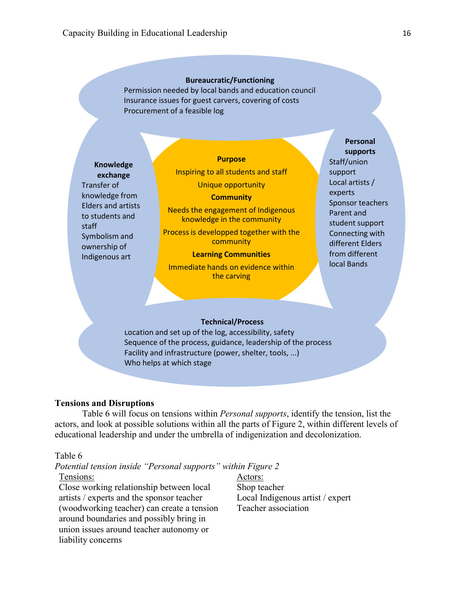#### **Bureaucratic/Functioning**

Permission needed by local bands and education council Insurance issues for guest carvers, covering of costs Procurement of a feasible log

**Knowledge exchange** Transfer of knowledge from Elders and artists to students and staff Symbolism and ownership of Indigenous art

#### **Purpose**

Inspiring to all students and staff Unique opportunity

#### **Community**

Needs the engagement of Indigenous knowledge in the community

Process is developped together with the community

#### **Learning Communities**

Immediate hands on evidence within the carving

#### **Personal supports**

Staff/union support Local artists / experts Sponsor teachers Parent and student support Connecting with different Elders from different local Bands

#### **Technical/Process**

Location and set up of the log, accessibility, safety Sequence of the process, guidance, leadership of the process Facility and infrastructure (power, shelter, tools, ...) Who helps at which stage

## <span id="page-15-0"></span>**Tensions and Disruptions**

Table 6 will focus on tensions within *Personal supports*, identify the tension, list the actors, and look at possible solutions within all the parts of Figure 2, within different levels of educational leadership and under the umbrella of indigenization and decolonization.

#### Table 6

## *Potential tension inside "Personal supports" within Figure 2*

Tensions:

Close working relationship between local artists / experts and the sponsor teacher (woodworking teacher) can create a tension around boundaries and possibly bring in union issues around teacher autonomy or liability concerns

Actors: Shop teacher Local Indigenous artist / expert Teacher association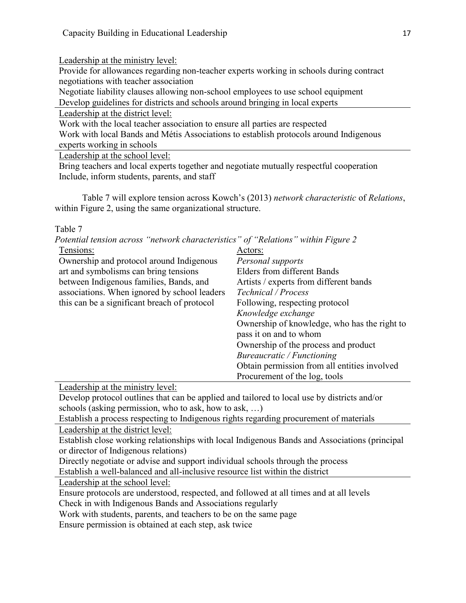Leadership at the ministry level:

Provide for allowances regarding non-teacher experts working in schools during contract negotiations with teacher association

Negotiate liability clauses allowing non-school employees to use school equipment

Develop guidelines for districts and schools around bringing in local experts

Leadership at the district level:

Work with the local teacher association to ensure all parties are respected

Work with local Bands and Métis Associations to establish protocols around Indigenous experts working in schools

Leadership at the school level:

Bring teachers and local experts together and negotiate mutually respectful cooperation Include, inform students, parents, and staff

Table 7 will explore tension across Kowch's (2013) *network characteristic* of *Relations*, within Figure 2, using the same organizational structure.

Table 7

| Potential tension across "network characteristics" of "Relations" within Figure 2 |                                              |
|-----------------------------------------------------------------------------------|----------------------------------------------|
| Tensions:                                                                         | Actors:                                      |
| Ownership and protocol around Indigenous                                          | Personal supports                            |
| art and symbolisms can bring tensions                                             | <b>Elders from different Bands</b>           |
| between Indigenous families, Bands, and                                           | Artists / experts from different bands       |
| associations. When ignored by school leaders                                      | Technical / Process                          |
| this can be a significant breach of protocol                                      | Following, respecting protocol               |
|                                                                                   | Knowledge exchange                           |
|                                                                                   | Ownership of knowledge, who has the right to |
|                                                                                   | pass it on and to whom                       |
|                                                                                   | Ownership of the process and product         |
|                                                                                   | Bureaucratic / Functioning                   |
|                                                                                   | Obtain permission from all entities involved |
|                                                                                   | Procurement of the log, tools                |

Leadership at the ministry level:

Develop protocol outlines that can be applied and tailored to local use by districts and/or schools (asking permission, who to ask, how to ask, …)

Establish a process respecting to Indigenous rights regarding procurement of materials Leadership at the district level:

Establish close working relationships with local Indigenous Bands and Associations (principal

or director of Indigenous relations)

Directly negotiate or advise and support individual schools through the process

Establish a well-balanced and all-inclusive resource list within the district

Leadership at the school level:

Ensure protocols are understood, respected, and followed at all times and at all levels

Check in with Indigenous Bands and Associations regularly

Work with students, parents, and teachers to be on the same page

Ensure permission is obtained at each step, ask twice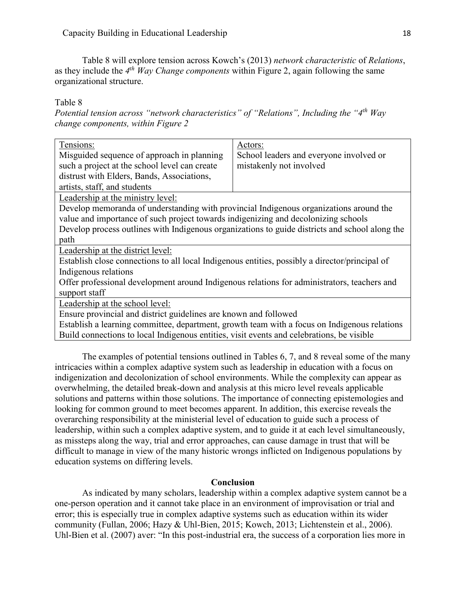Table 8 will explore tension across Kowch's (2013) *network characteristic* of *Relations*, as they include the 4<sup>th</sup> *Way Change components* within Figure 2, again following the same organizational structure.

Table 8

*Potential tension across "network characteristics" of "Relations", Including the "4th Way change components, within Figure 2*

| Tensions:                                                                                                                                                                                 | Actors:                                 |  |  |  |  |
|-------------------------------------------------------------------------------------------------------------------------------------------------------------------------------------------|-----------------------------------------|--|--|--|--|
| Misguided sequence of approach in planning                                                                                                                                                | School leaders and everyone involved or |  |  |  |  |
| such a project at the school level can create                                                                                                                                             | mistakenly not involved                 |  |  |  |  |
| distrust with Elders, Bands, Associations,                                                                                                                                                |                                         |  |  |  |  |
| artists, staff, and students                                                                                                                                                              |                                         |  |  |  |  |
| Leadership at the ministry level:                                                                                                                                                         |                                         |  |  |  |  |
| Develop memoranda of understanding with provincial Indigenous organizations around the                                                                                                    |                                         |  |  |  |  |
| value and importance of such project towards indigenizing and decolonizing schools                                                                                                        |                                         |  |  |  |  |
| Develop process outlines with Indigenous organizations to guide districts and school along the                                                                                            |                                         |  |  |  |  |
| path                                                                                                                                                                                      |                                         |  |  |  |  |
| Leadership at the district level:                                                                                                                                                         |                                         |  |  |  |  |
| Establish close connections to all local Indigenous entities, possibly a director/principal of                                                                                            |                                         |  |  |  |  |
|                                                                                                                                                                                           |                                         |  |  |  |  |
| Indigenous relations                                                                                                                                                                      |                                         |  |  |  |  |
| Offer professional development around Indigenous relations for administrators, teachers and                                                                                               |                                         |  |  |  |  |
| support staff                                                                                                                                                                             |                                         |  |  |  |  |
| Leadership at the school level:                                                                                                                                                           |                                         |  |  |  |  |
|                                                                                                                                                                                           |                                         |  |  |  |  |
| Ensure provincial and district guidelines are known and followed                                                                                                                          |                                         |  |  |  |  |
| Establish a learning committee, department, growth team with a focus on Indigenous relations<br>Build connections to local Indigenous entities, visit events and celebrations, be visible |                                         |  |  |  |  |
|                                                                                                                                                                                           |                                         |  |  |  |  |

The examples of potential tensions outlined in Tables 6, 7, and 8 reveal some of the many intricacies within a complex adaptive system such as leadership in education with a focus on indigenization and decolonization of school environments. While the complexity can appear as overwhelming, the detailed break-down and analysis at this micro level reveals applicable solutions and patterns within those solutions. The importance of connecting epistemologies and looking for common ground to meet becomes apparent. In addition, this exercise reveals the overarching responsibility at the ministerial level of education to guide such a process of leadership, within such a complex adaptive system, and to guide it at each level simultaneously, as missteps along the way, trial and error approaches, can cause damage in trust that will be difficult to manage in view of the many historic wrongs inflicted on Indigenous populations by education systems on differing levels.

#### **Conclusion**

<span id="page-17-0"></span>As indicated by many scholars, leadership within a complex adaptive system cannot be a one-person operation and it cannot take place in an environment of improvisation or trial and error; this is especially true in complex adaptive systems such as education within its wider community (Fullan, 2006; Hazy & Uhl-Bien, 2015; Kowch, 2013; Lichtenstein et al., 2006). Uhl-Bien et al. (2007) aver: "In this post-industrial era, the success of a corporation lies more in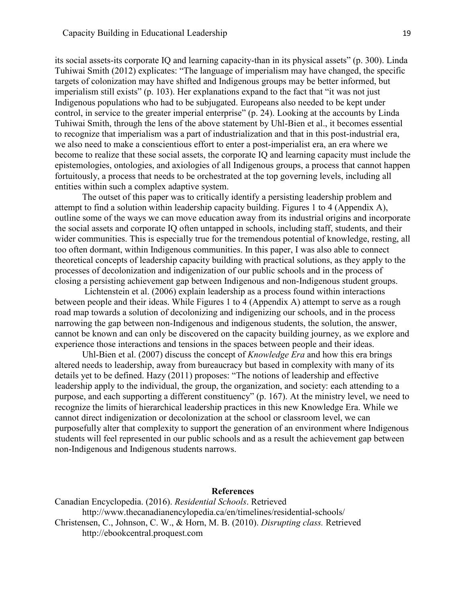its social assets-its corporate IQ and learning capacity-than in its physical assets" (p. 300). Linda Tuhiwai Smith (2012) explicates: "The language of imperialism may have changed, the specific targets of colonization may have shifted and Indigenous groups may be better informed, but imperialism still exists" (p. 103). Her explanations expand to the fact that "it was not just Indigenous populations who had to be subjugated. Europeans also needed to be kept under control, in service to the greater imperial enterprise" (p. 24). Looking at the accounts by Linda Tuhiwai Smith, through the lens of the above statement by Uhl-Bien et al., it becomes essential to recognize that imperialism was a part of industrialization and that in this post-industrial era, we also need to make a conscientious effort to enter a post-imperialist era, an era where we become to realize that these social assets, the corporate IQ and learning capacity must include the epistemologies, ontologies, and axiologies of all Indigenous groups, a process that cannot happen fortuitously, a process that needs to be orchestrated at the top governing levels, including all entities within such a complex adaptive system.

The outset of this paper was to critically identify a persisting leadership problem and attempt to find a solution within leadership capacity building. Figures 1 to 4 (Appendix A), outline some of the ways we can move education away from its industrial origins and incorporate the social assets and corporate IQ often untapped in schools, including staff, students, and their wider communities. This is especially true for the tremendous potential of knowledge, resting, all too often dormant, within Indigenous communities. In this paper, I was also able to connect theoretical concepts of leadership capacity building with practical solutions, as they apply to the processes of decolonization and indigenization of our public schools and in the process of closing a persisting achievement gap between Indigenous and non-Indigenous student groups.

Lichtenstein et al. (2006) explain leadership as a process found within interactions between people and their ideas. While Figures 1 to 4 (Appendix A) attempt to serve as a rough road map towards a solution of decolonizing and indigenizing our schools, and in the process narrowing the gap between non-Indigenous and indigenous students, the solution, the answer, cannot be known and can only be discovered on the capacity building journey, as we explore and experience those interactions and tensions in the spaces between people and their ideas.

Uhl-Bien et al. (2007) discuss the concept of *Knowledge Era* and how this era brings altered needs to leadership, away from bureaucracy but based in complexity with many of its details yet to be defined. Hazy (2011) proposes: "The notions of leadership and effective leadership apply to the individual, the group, the organization, and society: each attending to a purpose, and each supporting a different constituency" (p. 167). At the ministry level, we need to recognize the limits of hierarchical leadership practices in this new Knowledge Era. While we cannot direct indigenization or decolonization at the school or classroom level, we can purposefully alter that complexity to support the generation of an environment where Indigenous students will feel represented in our public schools and as a result the achievement gap between non-Indigenous and Indigenous students narrows.

## **References**

<span id="page-18-0"></span>Canadian Encyclopedia. (2016). *Residential Schools*. Retrieved [http://www.](http://www/)thecanadianencylopedia.ca/en/timelines/residential-schools/ Christensen, C., Johnson, C. W., & Horn, M. B. (2010). *Disrupting class.* Retrieved [http://ebookcentral.proquest.com](http://ebookcentral.proquest.com/)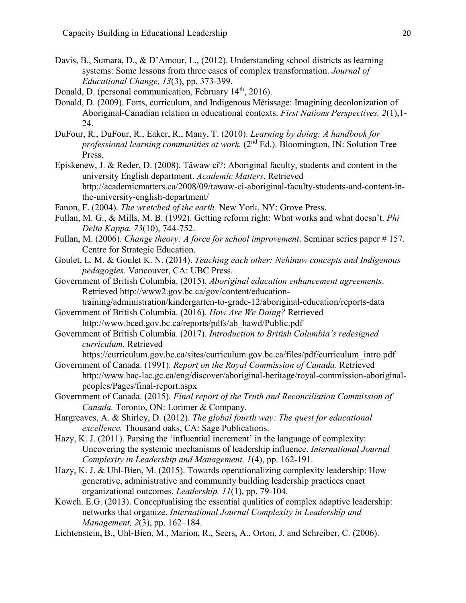- Davis, B., Sumara, D., & D'Amour, L., (2012). Understanding school districts as learning systems: Some lessons from three cases of complex transformation. *Journal of Educational Change, 13*(3), pp. 373-399.
- Donald, D. (personal communication, February 14<sup>th</sup>, 2016).
- Donald, D. (2009). Forts, curriculum, and Indigenous Métissage: Imagining decolonization of Aboriginal-Canadian relation in educational contexts. *First Nations Perspectives, 2*(1),1- 24.
- DuFour, R., DuFour, R., Eaker, R., Many, T. (2010). *Learning by doing: A handbook for professional learning communities at work.* (2nd Ed.). Bloomington, IN: Solution Tree Press.
- Episkenew, J. & Reder, D. (2008). Tâwaw cî?: Aboriginal faculty, students and content in the university English department. *Academic Matters*. Retrieved [http://academicmatters.ca/2008/09/tawaw-ci-aboriginal-faculty-students-and-content-in](http://academicmatters.ca/2008/09/tawaw-ci-aboriginal-faculty-students-and-content-in-)the-university-english-department/
- Fanon, F. (2004). *The wretched of the earth.* New York, NY: Grove Press.
- Fullan, M. G., & Mills, M. B. (1992). Getting reform right: What works and what doesn't. *Phi Delta Kappa. 73*(10), 744-752.
- Fullan, M. (2006). *Change theory: A force for school improvement*. Seminar series paper # 157. Centre for Strategic Education.
- Goulet, L. M. & Goulet K. N. (2014). *Teaching each other: Nehinuw concepts and Indigenous pedagogies.* Vancouver, CA: UBC Press.
- Government of British Columbia. (2015). *Aboriginal education enhancement agreements*. Retrieved [http://www2.gov.bc.ca/gov/content/education](http://www2.gov.bc.ca/gov/content/education-training/administration/kindergarten-to-grade-12/aboriginal-education/reports-data)[training/administration/kindergarten-to-grade-12/aboriginal-education/reports-data](http://www2.gov.bc.ca/gov/content/education-training/administration/kindergarten-to-grade-12/aboriginal-education/reports-data)
- Government of British Columbia. (2016). *How Are We Doing?* Retrieved [http://www.bced.gov.bc.ca/reports/pdfs/ab\\_hawd/Public.pdf](http://www.bced.gov.bc.ca/reports/pdfs/ab_hawd/Public.pdf)
- Government of British Columbia. (2017). *Introduction to British Columbia's redesigned curriculum*. Retrieved

https://curriculum.gov.bc.ca/sites/curriculum.gov.bc.ca/files/pdf/curriculum\_intro.pdf

- Government of Canada. (1991). *Report on the Royal Commission of Canada*. Retrieved [http://www.bac-lac.gc.ca/eng/discover/aboriginal-heritage/royal-commission-aboriginal](http://www.bac-lac.gc.ca/eng/discover/aboriginal-heritage/royal-commission-aboriginal-)peoples/Pages/final-report.aspx
- Government of Canada. (2015). *Final report of the Truth and Reconciliation Commission of Canada.* Toronto, ON: Lorimer & Company.
- Hargreaves, A. & Shirley, D. (2012). *The global fourth way: The quest for educational excellence.* Thousand oaks, CA: Sage Publications.
- Hazy, K. J. (2011). Parsing the 'influential increment' in the language of complexity: Uncovering the systemic mechanisms of leadership influence. *International Journal Complexity in Leadership and Management, 1*(4), pp. 162-191.
- Hazy, K. J. & Uhl-Bien, M. (2015). Towards operationalizing complexity leadership: How generative, administrative and community building leadership practices enact organizational outcomes. *Leadership, 11*(1), pp. 79-104.
- Kowch. E.G. (2013). Conceptualising the essential qualities of complex adaptive leadership: networks that organize. *International Journal Complexity in Leadership and Management, 2*(3), pp. 162–184.
- Lichtenstein, B., Uhl-Bien, M., Marion, R., Seers, A., Orton, J. and Schreiber, C. (2006).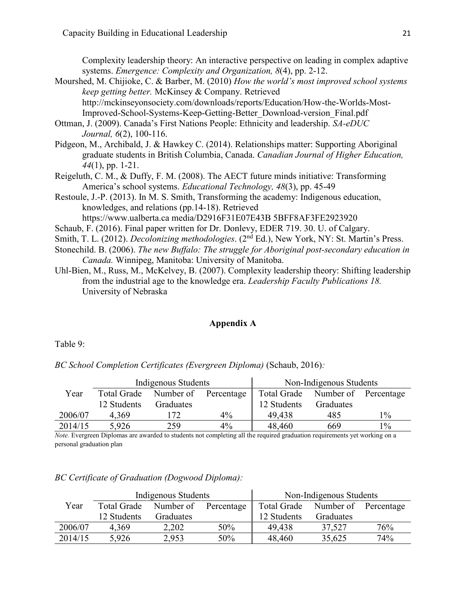Complexity leadership theory: An interactive perspective on leading in complex adaptive systems. *Emergence: Complexity and Organization, 8*(4), pp. 2-12.

- Mourshed, M. Chijioke, C. & Barber, M. (2010) *How the world's most improved school systems keep getting better.* McKinsey & Company. Retrieved <http://mckinseyonsociety.com/downloads/reports/Education/How-the-Worlds-Most->Improved-School-Systems-Keep-Getting-Better\_Download-version\_Final.pdf
- Ottman, J. (2009). Canada's First Nations People: Ethnicity and leadership. *SA-eDUC Journal, 6*(2), 100-116.
- Pidgeon, M., Archibald, J. & Hawkey C. (2014). Relationships matter: Supporting Aboriginal graduate students in British Columbia, Canada. *Canadian Journal of Higher Education, 44*(1), pp. 1-21.
- Reigeluth, C. M., & Duffy, F. M. (2008). The AECT future minds initiative: Transforming America's school systems. *Educational Technology, 48*(3), pp. 45-49
- Restoule, J.-P. (2013). In M. S. Smith, Transforming the academy: Indigenous education, knowledges, and relations (pp.14-18). Retrieved https://www.ualberta.ca media/D2916F31E07E43B 5BFF8AF3FE2923920

- Schaub, F. (2016). Final paper written for Dr. Donlevy, EDER 719. 30. U. of Calgary.
- Smith, T. L. (2012). *Decolonizing methodologies*. (2nd Ed.), New York, NY: St. Martin's Press.
- Stonechild. B. (2006). *The new Buffalo: The struggle for Aboriginal post-secondary education in Canada.* Winnipeg, Manitoba: University of Manitoba.
- Uhl-Bien, M., Russ, M., McKelvey, B. (2007). Complexity leadership theory: Shifting leadership from the industrial age to the knowledge era. *Leadership Faculty Publications 18.*  University of Nebraska

## **Appendix A**

<span id="page-20-0"></span>Table 9:

*BC School Completion Certificates (Evergreen Diploma)* (Schaub, 2016)*:*

|         |                    | Indigenous Students | Non-Indigenous Students |             |                                  |                |
|---------|--------------------|---------------------|-------------------------|-------------|----------------------------------|----------------|
| Year    | <b>Total Grade</b> | Number of           | Percentage              |             | Total Grade Number of Percentage |                |
|         | 12 Students        | Graduates           |                         | 12 Students | Graduates                        |                |
| 2006/07 | 4.369              | 172                 | $4\%$                   | 49.438      | 485                              | $\frac{0}{0}$  |
| 2014/15 | 5,926              | 259                 | $4\%$                   | 48,460      | 669                              | $\frac{10}{6}$ |

*Note.* Evergreen Diplomas are awarded to students not completing all the required graduation requirements yet working on a personal graduation plan

|         |             | Indigenous Students | Non-Indigenous Students |             |                      |     |
|---------|-------------|---------------------|-------------------------|-------------|----------------------|-----|
| Year    | Total Grade | Number of           | Percentage $\parallel$  | Total Grade | Number of Percentage |     |
|         | 12 Students | Graduates           |                         | 12 Students | Graduates            |     |
| 2006/07 | 4.369       | 2,202               | 50%                     | 49.438      | 37,527               | 76% |
| 2014/15 | 5,926       | 2,953               | 50%                     | 48,460      | 35,625               | 74% |

## *BC Certificate of Graduation (Dogwood Diploma):*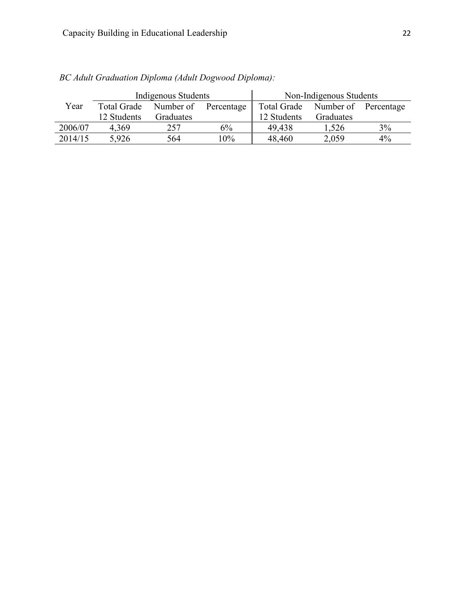|         |             | Indigenous Students |                      | Non-Indigenous Students          |           |    |
|---------|-------------|---------------------|----------------------|----------------------------------|-----------|----|
| Year    | Total Grade |                     | Number of Percentage | Total Grade Number of Percentage |           |    |
|         | 12 Students | Graduates           |                      | 12 Students                      | Graduates |    |
| 2006/07 | 4.369       | 257                 | 6%                   | 49.438                           | 1,526     | 3% |
| 2014/15 | 5,926       | 564                 | 10%                  | 48,460                           | 2,059     | 4% |

 *BC Adult Graduation Diploma (Adult Dogwood Diploma):*